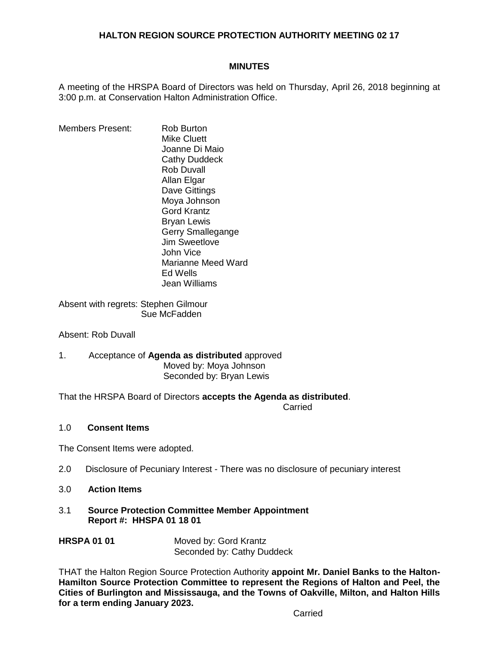## **HALTON REGION SOURCE PROTECTION AUTHORITY MEETING 02 17**

#### **MINUTES**

A meeting of the HRSPA Board of Directors was held on Thursday, April 26, 2018 beginning at 3:00 p.m. at Conservation Halton Administration Office.

Members Present: Rob Burton Mike Cluett Joanne Di Maio Cathy Duddeck Rob Duvall Allan Elgar Dave Gittings Moya Johnson Gord Krantz Bryan Lewis Gerry Smallegange Jim Sweetlove John Vice Marianne Meed Ward Ed Wells Jean Williams

Absent with regrets: Stephen Gilmour Sue McFadden

Absent: Rob Duvall

#### 1. Acceptance of **Agenda as distributed** approved Moved by: Moya Johnson Seconded by: Bryan Lewis

That the HRSPA Board of Directors **accepts the Agenda as distributed**. **Carried Carried Carried Carried Carried Carried Carried Carried Carried Carried Carried Carried Carried Carried Carried Carried Carried Carried Carried Carried Carried Carried Carried Carried Carried Carried Carried Carri** 

# 1.0 **Consent Items**

The Consent Items were adopted.

- 2.0 Disclosure of Pecuniary Interest There was no disclosure of pecuniary interest
- 3.0 **Action Items**
- 3.1 **Source Protection Committee Member Appointment Report #: HHSPA 01 18 01**
- **HRSPA 01 01** Moved by: Gord Krantz Seconded by: Cathy Duddeck

THAT the Halton Region Source Protection Authority **appoint Mr. Daniel Banks to the Halton-Hamilton Source Protection Committee to represent the Regions of Halton and Peel, the Cities of Burlington and Mississauga, and the Towns of Oakville, Milton, and Halton Hills for a term ending January 2023.**